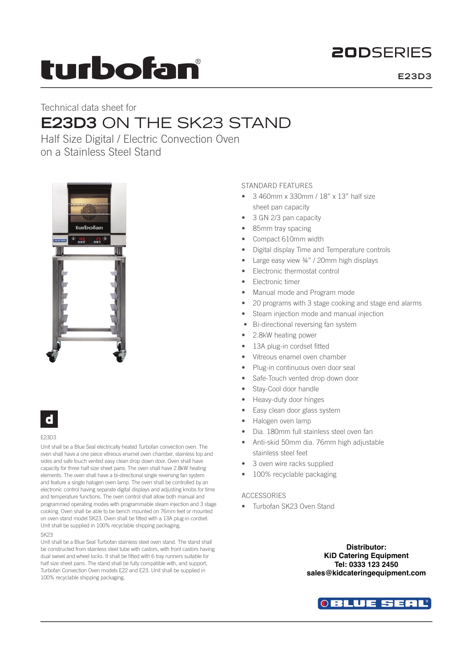## **20DSERIES**

# turbofan

**E23D3**

## Technical data sheet for **E23D3** ON THE SK23 STAND

Half Size Digital / Electric Convection Oven on a Stainless Steel Stand



### d

#### E23D3

Unit shall be a Blue Seal electrically heated Turbofan convection oven. The oven shall have a one piece vitreous enamel oven chamber, stainless top and sides and safe touch vented easy clean drop down door. Oven shall have capacity for three half size sheet pans. The oven shall have 2.8kW heating elements. The oven shall have a bi-directional single reversing fan system and feature a single halogen oven lamp. The oven shall be controlled by an electronic control having separate digital displays and adjusting knobs for time and temperature functions. The oven control shall allow both manual and programmed operating modes with programmable steam injection and 3 stage cooking. Oven shall be able to be bench mounted on 76mm feet or mounted on oven stand model SK23. Oven shall be fitted with a 13A plug-in cordset. Unit shall be supplied in 100% recyclable shipping packaging. SK23

Unit shall be a Blue Seal Turbofan stainless steel oven stand. The stand shall be constructed from stainless steel tube with castors, with front castors having dual swivel and wheel locks. It shall be fitted with 6 tray runners suitable for half size sheet pans. The stand shall be fully compatible with, and support, Turbofan Convection Oven models E22 and E23. Unit shall be supplied in 100% recyclable shipping packaging.

### STANDARD FEATURES

- 3 460mm x 330mm / 18" x 13" half size sheet pan capacity
- 3 GN 2/3 pan capacity
- 85mm tray spacing
- Compact 610mm width
- Digital display Time and Temperature controls
- Large easy view ¾" / 20mm high displays
- Electronic thermostat control
- **Electronic timer**
- Manual mode and Program mode
- 20 programs with 3 stage cooking and stage end alarms
- Steam injection mode and manual injection
- Bi-directional reversing fan system
- 2.8kW heating power
- 13A plug-in cordset fitted
- Vitreous enamel oven chamber
- Plug-in continuous oven door seal
- Safe-Touch vented drop down door
- Stay-Cool door handle
- Heavy-duty door hinges
- Easy clean door glass system
- Halogen oven lamp
- Dia. 180mm full stainless steel oven fan
- Anti-skid 50mm dia. 76mm high adjustable stainless steel feet
- 3 oven wire racks supplied
- 100% recyclable packaging

### ACCESSORIES

• Turbofan SK23 Oven Stand

**Distributor: KiD Catering Equipment Tel: 0333 123 2450 sales@kidcateringequipment.com**